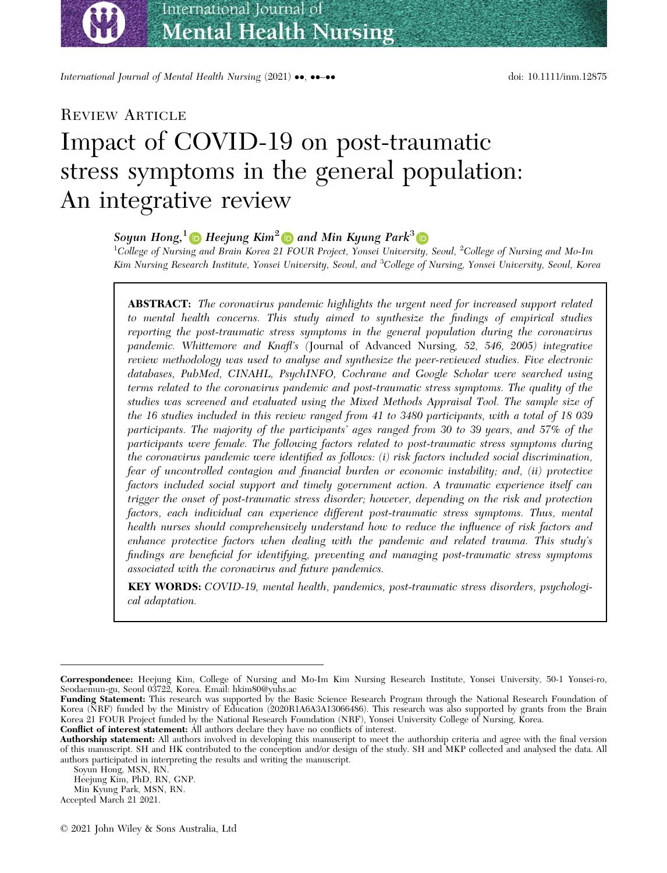International Journal of Mental Health Nursing (2021) ••, ••-•• doi: 10.1111/inm.12875

## REVIEW ARTICLE

bs\_bs\_banner

# Impact of COVID-19 on post-traumatic stress symptoms in the general population: An integrative review

# Soyun Hong,<sup>[1](https://orcid.org/0000-0003-4847-3619)</sup>  $\bullet$  Heejung Kim<sup>2</sup>  $\bullet$  and Min Kyung Park<sup>[3](https://orcid.org/0000-0002-2568-8855)</sup>  $\bullet$

 $^1$ College of Nursing and Brain Korea 21 FOUR Project, Yonsei University, Seoul,  $^2$ College of Nursing and Mo-Im Kim Nursing Research Institute, Yonsei University, Seoul, and <sup>3</sup>College of Nursing, Yonsei University, Seoul, Korea

**ABSTRACT:** The coronavirus pandemic highlights the urgent need for increased support related to mental health concerns. This study aimed to synthesize the findings of empirical studies reporting the post-traumatic stress symptoms in the general population during the coronavirus pandemic. Whittemore and Knafl's (Journal of Advanced Nursing, 52, 546, 2005) integrative review methodology was used to analyse and synthesize the peer-reviewed studies. Five electronic databases, PubMed, CINAHL, PsychINFO, Cochrane and Google Scholar were searched using terms related to the coronavirus pandemic and post-traumatic stress symptoms. The quality of the studies was screened and evaluated using the Mixed Methods Appraisal Tool. The sample size of the 16 studies included in this review ranged from 41 to 3480 participants, with a total of 18 039 participants. The majority of the participants' ages ranged from 30 to 39 years, and 57% of the participants were female. The following factors related to post-traumatic stress symptoms during the coronavirus pandemic were identified as follows: (i) risk factors included social discrimination, fear of uncontrolled contagion and financial burden or economic instability; and, (ii) protective factors included social support and timely government action. A traumatic experience itself can trigger the onset of post-traumatic stress disorder; however, depending on the risk and protection factors, each individual can experience different post-traumatic stress symptoms. Thus, mental health nurses should comprehensively understand how to reduce the influence of risk factors and enhance protective factors when dealing with the pandemic and related trauma. This study's findings are beneficial for identifying, preventing and managing post-traumatic stress symptoms associated with the coronavirus and future pandemics.

KEY WORDS: COVID-19, mental health, pandemics, post-traumatic stress disorders, psychological adaptation.

Correspondence: Heejung Kim, College of Nursing and Mo-Im Kim Nursing Research Institute, Yonsei University, 50-1 Yonsei-ro, Seodaemun-gu, Seoul 03722, Korea. Email: [hkim80@yuhs.ac](mailto:)

Funding Statement: This research was supported by the Basic Science Research Program through the National Research Foundation of Korea (NRF) funded by the Ministry of Education (2020R1A6A3A13066486). This research was also supported by grants from the Brain Korea 21 FOUR Project funded by the National Research Foundation (NRF), Yonsei University College of Nursing, Korea.

Conflict of interest statement: All authors declare they have no conflicts of interest.

Authorship statement: All authors involved in developing this manuscript to meet the authorship criteria and agree with the final version of this manuscript. SH and HK contributed to the conception and/or design of the study. SH and MKP collected and analysed the data. All authors participated in interpreting the results and writing the manuscript.

Soyun Hong, MSN, RN.

Heejung Kim, PhD, RN, GNP.

Min Kyung Park, MSN, RN.

Accepted March 21 2021.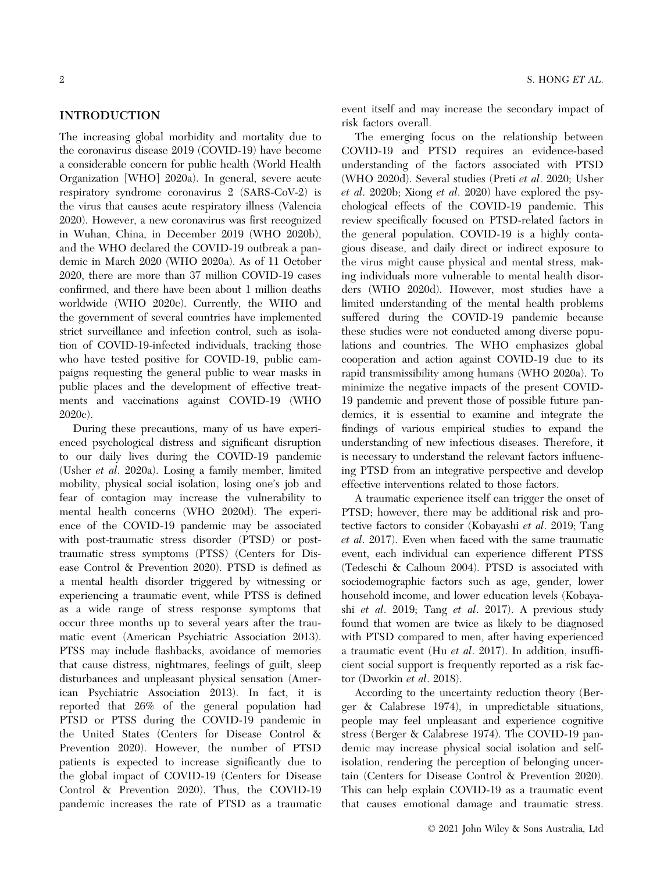#### INTRODUCTION

The increasing global morbidity and mortality due to the coronavirus disease 2019 (COVID-19) have become a considerable concern for public health (World Health Organization [WHO] 2020a). In general, severe acute respiratory syndrome coronavirus 2 (SARS-CoV-2) is the virus that causes acute respiratory illness (Valencia 2020). However, a new coronavirus was first recognized in Wuhan, China, in December 2019 (WHO 2020b), and the WHO declared the COVID-19 outbreak a pandemic in March 2020 (WHO 2020a). As of 11 October 2020, there are more than 37 million COVID-19 cases confirmed, and there have been about 1 million deaths worldwide (WHO 2020c). Currently, the WHO and the government of several countries have implemented strict surveillance and infection control, such as isolation of COVID-19-infected individuals, tracking those who have tested positive for COVID-19, public campaigns requesting the general public to wear masks in public places and the development of effective treatments and vaccinations against COVID-19 (WHO 2020c).

During these precautions, many of us have experienced psychological distress and significant disruption to our daily lives during the COVID-19 pandemic (Usher et al. 2020a). Losing a family member, limited mobility, physical social isolation, losing one's job and fear of contagion may increase the vulnerability to mental health concerns (WHO 2020d). The experience of the COVID-19 pandemic may be associated with post-traumatic stress disorder (PTSD) or posttraumatic stress symptoms (PTSS) (Centers for Disease Control & Prevention 2020). PTSD is defined as a mental health disorder triggered by witnessing or experiencing a traumatic event, while PTSS is defined as a wide range of stress response symptoms that occur three months up to several years after the traumatic event (American Psychiatric Association 2013). PTSS may include flashbacks, avoidance of memories that cause distress, nightmares, feelings of guilt, sleep disturbances and unpleasant physical sensation (American Psychiatric Association 2013). In fact, it is reported that 26% of the general population had PTSD or PTSS during the COVID-19 pandemic in the United States (Centers for Disease Control & Prevention 2020). However, the number of PTSD patients is expected to increase significantly due to the global impact of COVID-19 (Centers for Disease Control & Prevention 2020). Thus, the COVID-19 pandemic increases the rate of PTSD as a traumatic

event itself and may increase the secondary impact of risk factors overall.

The emerging focus on the relationship between COVID-19 and PTSD requires an evidence-based understanding of the factors associated with PTSD (WHO 2020d). Several studies (Preti et al. 2020; Usher et al. 2020b; Xiong et al. 2020) have explored the psychological effects of the COVID-19 pandemic. This review specifically focused on PTSD-related factors in the general population. COVID-19 is a highly contagious disease, and daily direct or indirect exposure to the virus might cause physical and mental stress, making individuals more vulnerable to mental health disorders (WHO 2020d). However, most studies have a limited understanding of the mental health problems suffered during the COVID-19 pandemic because these studies were not conducted among diverse populations and countries. The WHO emphasizes global cooperation and action against COVID-19 due to its rapid transmissibility among humans (WHO 2020a). To minimize the negative impacts of the present COVID-19 pandemic and prevent those of possible future pandemics, it is essential to examine and integrate the findings of various empirical studies to expand the understanding of new infectious diseases. Therefore, it is necessary to understand the relevant factors influencing PTSD from an integrative perspective and develop effective interventions related to those factors.

A traumatic experience itself can trigger the onset of PTSD; however, there may be additional risk and protective factors to consider (Kobayashi et al. 2019; Tang et al. 2017). Even when faced with the same traumatic event, each individual can experience different PTSS (Tedeschi & Calhoun 2004). PTSD is associated with sociodemographic factors such as age, gender, lower household income, and lower education levels (Kobayashi et al. 2019; Tang et al. 2017). A previous study found that women are twice as likely to be diagnosed with PTSD compared to men, after having experienced a traumatic event (Hu et al. 2017). In addition, insufficient social support is frequently reported as a risk factor (Dworkin et al. 2018).

According to the uncertainty reduction theory (Berger & Calabrese 1974), in unpredictable situations, people may feel unpleasant and experience cognitive stress (Berger & Calabrese 1974). The COVID-19 pandemic may increase physical social isolation and selfisolation, rendering the perception of belonging uncertain (Centers for Disease Control & Prevention 2020). This can help explain COVID-19 as a traumatic event that causes emotional damage and traumatic stress.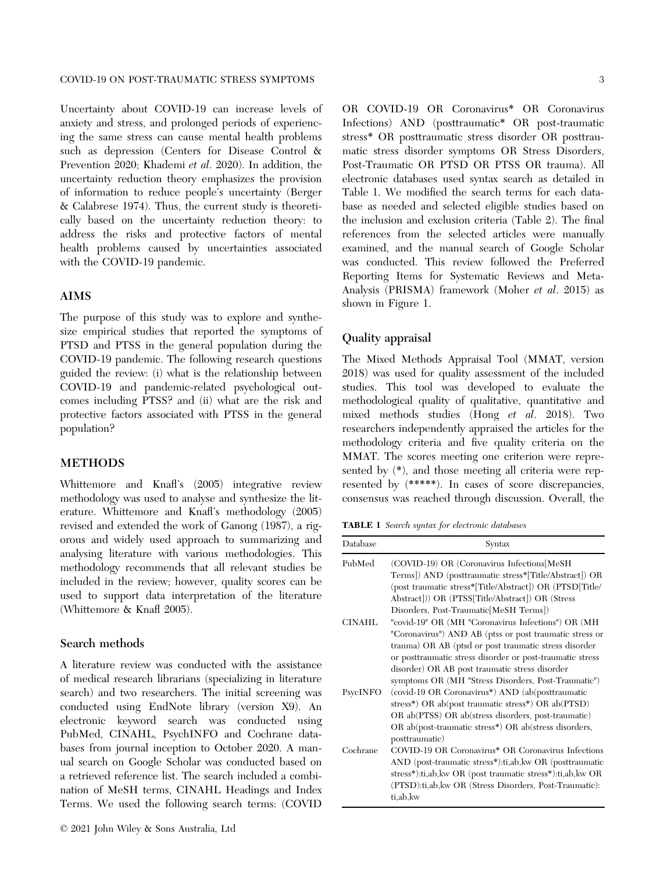Uncertainty about COVID-19 can increase levels of anxiety and stress, and prolonged periods of experiencing the same stress can cause mental health problems such as depression (Centers for Disease Control & Prevention 2020; Khademi et al. 2020). In addition, the uncertainty reduction theory emphasizes the provision of information to reduce people's uncertainty (Berger & Calabrese 1974). Thus, the current study is theoretically based on the uncertainty reduction theory: to address the risks and protective factors of mental health problems caused by uncertainties associated with the COVID-19 pandemic.

#### AIMS

The purpose of this study was to explore and synthesize empirical studies that reported the symptoms of PTSD and PTSS in the general population during the COVID-19 pandemic. The following research questions guided the review: (i) what is the relationship between COVID-19 and pandemic-related psychological outcomes including PTSS? and (ii) what are the risk and protective factors associated with PTSS in the general population?

#### METHODS

Whittemore and Knafl's (2005) integrative review methodology was used to analyse and synthesize the literature. Whittemore and Knafl's methodology (2005) revised and extended the work of Ganong (1987), a rigorous and widely used approach to summarizing and analysing literature with various methodologies. This methodology recommends that all relevant studies be included in the review; however, quality scores can be used to support data interpretation of the literature (Whittemore & Knafl 2005).

#### Search methods

A literature review was conducted with the assistance of medical research librarians (specializing in literature search) and two researchers. The initial screening was conducted using EndNote library (version X9). An electronic keyword search was conducted using PubMed, CINAHL, PsychINFO and Cochrane databases from journal inception to October 2020. A manual search on Google Scholar was conducted based on a retrieved reference list. The search included a combination of MeSH terms, CINAHL Headings and Index Terms. We used the following search terms: (COVID

OR COVID-19 OR Coronavirus\* OR Coronavirus Infections) AND (posttraumatic\* OR post-traumatic stress\* OR posttraumatic stress disorder OR posttraumatic stress disorder symptoms OR Stress Disorders, Post-Traumatic OR PTSD OR PTSS OR trauma). All electronic databases used syntax search as detailed in Table 1. We modified the search terms for each database as needed and selected eligible studies based on the inclusion and exclusion criteria (Table 2). The final references from the selected articles were manually examined, and the manual search of Google Scholar was conducted. This review followed the Preferred Reporting Items for Systematic Reviews and Meta-Analysis (PRISMA) framework (Moher et al. 2015) as shown in Figure 1.

#### Quality appraisal

The Mixed Methods Appraisal Tool (MMAT, version 2018) was used for quality assessment of the included studies. This tool was developed to evaluate the methodological quality of qualitative, quantitative and mixed methods studies (Hong et al. 2018). Two researchers independently appraised the articles for the methodology criteria and five quality criteria on the MMAT. The scores meeting one criterion were represented by (\*), and those meeting all criteria were represented by (\*\*\*\*\*). In cases of score discrepancies, consensus was reached through discussion. Overall, the

TABLE 1 Search syntax for electronic databases

| Database      | Syntax                                                        |
|---------------|---------------------------------------------------------------|
| PubMed        | (COVID-19) OR (Coronavirus Infections MeSH                    |
|               | Terms]) AND (posttraumatic stress*[Title/Abstract]) OR        |
|               | (post traumatic stress*[Title/Abstract]) OR (PTSD[Title/      |
|               | Abstract])) OR (PTSS[Title/Abstract]) OR (Stress              |
|               | Disorders, Post-Traumatic MeSH Terms)                         |
| <b>CINAHL</b> | "covid-19" OR (MH "Coronavirus Infections") OR (MH            |
|               | "Coronavirus") AND AB (ptss or post traumatic stress or       |
|               | trauma) OR AB (ptsd or post traumatic stress disorder         |
|               | or posttraumatic stress disorder or post-traumatic stress     |
|               | disorder) OR AB post traumatic stress disorder                |
|               | symptoms OR (MH "Stress Disorders, Post-Traumatic")           |
| PsycINFO      | (covid-19 OR Coronavirus <sup>*</sup> ) AND (ab(posttraumatic |
|               | stress*) OR ab(post traumatic stress*) OR ab(PTSD)            |
|               | OR ab(PTSS) OR ab(stress disorders, post-traumatic)           |
|               | OR ab(post-traumatic stress*) OR ab(stress disorders,         |
|               | posttraumatic)                                                |
| Cochrane      | COVID-19 OR Coronavirus* OR Coronavirus Infections            |
|               | AND (post-traumatic stress*):ti,ab, kw OR (posttraumatic      |
|               | stress*):ti,ab, kw OR (post traumatic stress*):ti,ab, kw OR   |
|               | (PTSD):ti,ab, kw OR (Stress Disorders, Post-Traumatic):       |
|               | ti,ab,kw                                                      |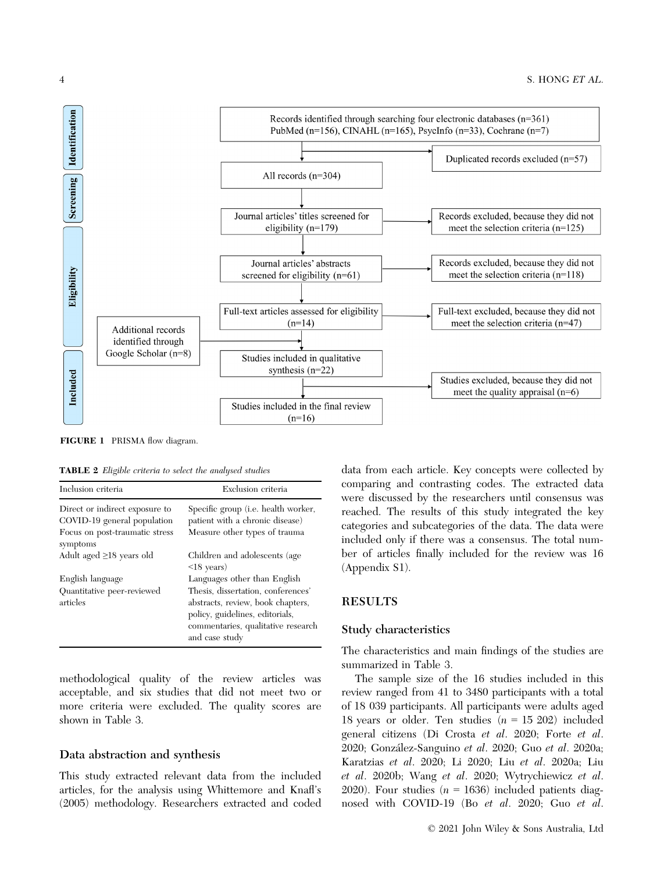

FIGURE 1 PRISMA flow diagram.

TABLE 2 Eligible criteria to select the analysed studies

| Inclusion criteria                                         | Exclusion criteria                                                                                                                                                                                 |
|------------------------------------------------------------|----------------------------------------------------------------------------------------------------------------------------------------------------------------------------------------------------|
| Direct or indirect exposure to                             | Specific group (i.e. health worker,                                                                                                                                                                |
| COVID-19 general population                                | patient with a chronic disease)                                                                                                                                                                    |
| Focus on post-traumatic stress                             | Measure other types of trauma                                                                                                                                                                      |
| symptoms                                                   | Children and adolescents (age                                                                                                                                                                      |
| Adult aged $\geq$ 18 years old                             | $\langle 18 \text{ years} \rangle$                                                                                                                                                                 |
| English language<br>Quantitative peer-reviewed<br>articles | Languages other than English<br>Thesis, dissertation, conferences'<br>abstracts, review, book chapters,<br>policy, guidelines, editorials,<br>commentaries, qualitative research<br>and case study |

methodological quality of the review articles was acceptable, and six studies that did not meet two or more criteria were excluded. The quality scores are shown in Table 3.

#### Data abstraction and synthesis

This study extracted relevant data from the included articles, for the analysis using Whittemore and Knafl's (2005) methodology. Researchers extracted and coded

data from each article. Key concepts were collected by comparing and contrasting codes. The extracted data were discussed by the researchers until consensus was reached. The results of this study integrated the key categories and subcategories of the data. The data were included only if there was a consensus. The total number of articles finally included for the review was 16 (Appendix S1).

#### RESULTS

#### Study characteristics

The characteristics and main findings of the studies are summarized in Table 3.

The sample size of the 16 studies included in this review ranged from 41 to 3480 participants with a total of 18 039 participants. All participants were adults aged 18 years or older. Ten studies  $(n = 15202)$  included general citizens (Di Crosta et al. 2020; Forte et al. 2020; Gonzalez-Sanguino et al. 2020; Guo et al. 2020a; Karatzias et al. 2020; Li 2020; Liu et al. 2020a; Liu et al. 2020b; Wang et al. 2020; Wytrychiewicz et al. 2020). Four studies  $(n = 1636)$  included patients diagnosed with COVID-19 (Bo et al. 2020; Guo et al.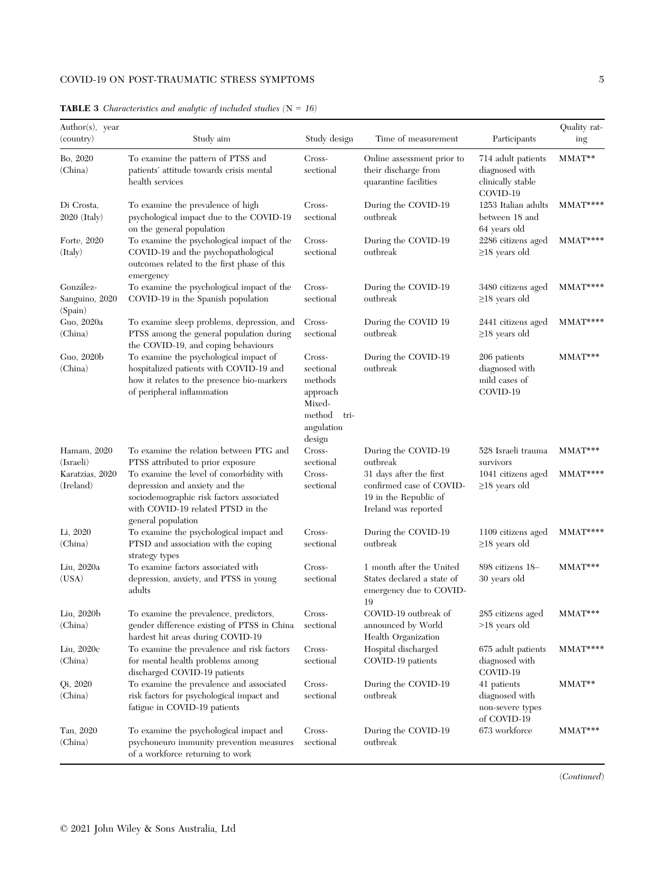### COVID-19 ON POST-TRAUMATIC STRESS SYMPTOMS 5

| Author(s), year                           |                                                                                                                                                                                                                        |                                                                                                |                                                                                                                        |                                                                       | Quality rat- |
|-------------------------------------------|------------------------------------------------------------------------------------------------------------------------------------------------------------------------------------------------------------------------|------------------------------------------------------------------------------------------------|------------------------------------------------------------------------------------------------------------------------|-----------------------------------------------------------------------|--------------|
| (country)                                 | Study aim                                                                                                                                                                                                              | Study design                                                                                   | Time of measurement                                                                                                    | Participants                                                          | ing          |
| Bo, 2020<br>(China)                       | To examine the pattern of PTSS and<br>patients' attitude towards crisis mental<br>health services                                                                                                                      | Cross-<br>sectional                                                                            | Online assessment prior to<br>their discharge from<br>quarantine facilities                                            | 714 adult patients<br>diagnosed with<br>clinically stable<br>COVID-19 | MMAT**       |
| Di Crosta,<br>$2020$ (Italy)              | To examine the prevalence of high<br>psychological impact due to the COVID-19<br>on the general population                                                                                                             | Cross-<br>sectional                                                                            | During the COVID-19<br>outbreak                                                                                        | 1253 Italian adults<br>between 18 and<br>64 years old                 | $M$ MAT****  |
| Forte, 2020<br>(Italy)                    | To examine the psychological impact of the<br>COVID-19 and the psychopathological<br>outcomes related to the first phase of this<br>emergency                                                                          | Cross-<br>sectional                                                                            | During the COVID-19<br>outbreak                                                                                        | 2286 citizens aged<br>$\geq$ 18 years old                             | $MMAT***$    |
| González-<br>Sanguino, 2020<br>(Spain)    | To examine the psychological impact of the<br>COVID-19 in the Spanish population                                                                                                                                       | Cross-<br>sectional                                                                            | During the COVID-19<br>outbreak                                                                                        | 3480 citizens aged<br>$\geq$ 18 years old                             | MMAT****     |
| Guo, 2020a<br>(China)                     | To examine sleep problems, depression, and<br>PTSS among the general population during<br>the COVID-19, and coping behaviours                                                                                          | Cross-<br>sectional                                                                            | During the COVID 19<br>outbreak                                                                                        | 2441 citizens aged<br>$\geq$ 18 years old                             | MMAT****     |
| Guo, 2020b<br>(China)                     | To examine the psychological impact of<br>hospitalized patients with COVID-19 and<br>how it relates to the presence bio-markers<br>of peripheral inflammation                                                          | Cross-<br>sectional<br>methods<br>approach<br>Mixed-<br>method<br>tri-<br>angulation<br>design | During the COVID-19<br>outbreak                                                                                        | 206 patients<br>diagnosed with<br>mild cases of<br>COVID-19           | MMAT***      |
| Hamam, 2020                               | To examine the relation between PTG and                                                                                                                                                                                | Cross-                                                                                         | During the COVID-19                                                                                                    | 528 Israeli trauma                                                    | $MMAT***$    |
| (Israeli)<br>Karatzias, 2020<br>(Ireland) | PTSS attributed to prior exposure<br>To examine the level of comorbidity with<br>depression and anxiety and the<br>sociodemographic risk factors associated<br>with COVID-19 related PTSD in the<br>general population | sectional<br>Cross-<br>sectional                                                               | $\rm outbreak$<br>31 days after the first<br>confirmed case of COVID-<br>19 in the Republic of<br>Ireland was reported | survivors<br>1041 citizens aged<br>$\geq$ 18 years old                | $M$ MAT****  |
| Li, 2020<br>(China)                       | To examine the psychological impact and<br>PTSD and association with the coping<br>strategy types                                                                                                                      | Cross-<br>sectional                                                                            | During the COVID-19<br>outbreak                                                                                        | 1109 citizens aged<br>$\geq$ 18 years old                             | $MMAT***$    |
| Liu, 2020a<br>(USA)                       | To examine factors associated with<br>depression, anxiety, and PTSS in young<br>adults                                                                                                                                 | Cross-<br>sectional                                                                            | 1 month after the United<br>States declared a state of<br>emergency due to COVID-<br>19                                | 898 citizens 18-<br>30 years old                                      | MMAT***      |
| Liu, 2020b<br>(China)                     | To examine the prevalence, predictors,<br>gender difference existing of PTSS in China<br>hardest hit areas during COVID-19                                                                                             | Cross-<br>sectional                                                                            | COVID-19 outbreak of<br>announced by World<br>Health Organization                                                      | 285 citizens aged<br>$>18$ years old                                  | $MMAT***$    |
| Liu, 2020c<br>(China)                     | To examine the prevalence and risk factors<br>for mental health problems among<br>discharged COVID-19 patients                                                                                                         | Cross-<br>sectional                                                                            | Hospital discharged<br>COVID-19 patients                                                                               | 675 adult patients<br>diagnosed with<br>COVID-19                      | $M$ MAT****  |
| Qi, 2020<br>(China)                       | To examine the prevalence and associated<br>risk factors for psychological impact and<br>fatigue in COVID-19 patients                                                                                                  | Cross-<br>sectional                                                                            | During the COVID-19<br>outbreak                                                                                        | 41 patients<br>diagnosed with<br>non-severe types<br>of COVID-19      | MMAT**       |
| Tan, 2020<br>(China)                      | To examine the psychological impact and<br>psychoneuro immunity prevention measures<br>of a workforce returning to work                                                                                                | Cross-<br>sectional                                                                            | During the COVID-19<br>outbreak                                                                                        | 673 workforce                                                         | MMAT***      |

#### **TABLE 3** Characteristics and analytic of included studies  $(N = 16)$

(Continued)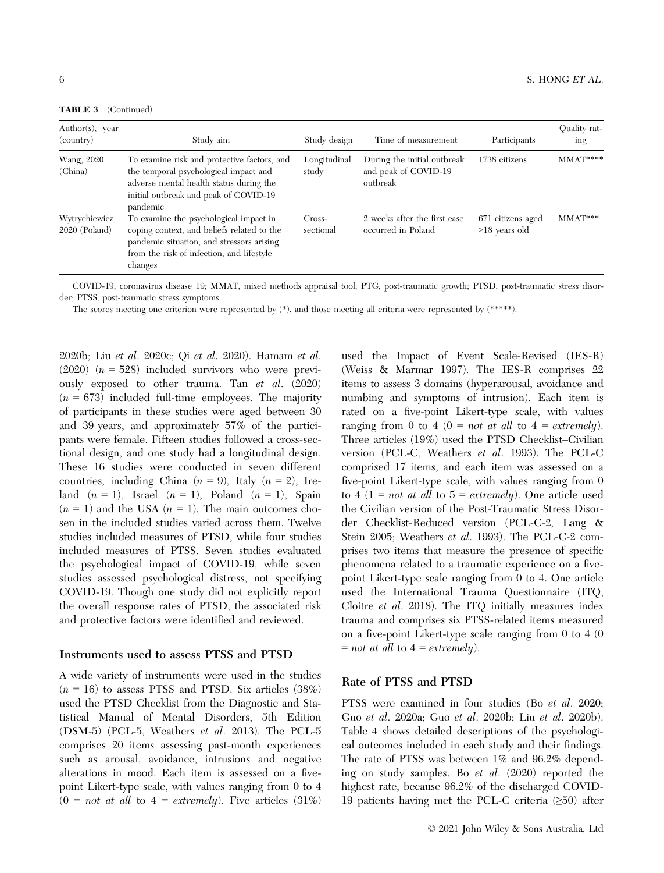TABLE 3 (Continued)

| Author(s), year<br>(country)      | Study aim                                                                                                                                                                                 | Study design          | Time of measurement                                             | Participants                         | Quality rat-<br>ing |
|-----------------------------------|-------------------------------------------------------------------------------------------------------------------------------------------------------------------------------------------|-----------------------|-----------------------------------------------------------------|--------------------------------------|---------------------|
| Wang, 2020<br>(China)             | To examine risk and protective factors, and<br>the temporal psychological impact and<br>adverse mental health status during the<br>initial outbreak and peak of COVID-19<br>pandemic      | Longitudinal<br>study | During the initial outbreak<br>and peak of COVID-19<br>outbreak | 1738 citizens                        | $MMAT***$           |
| Wytrychiewicz,<br>$2020$ (Poland) | To examine the psychological impact in<br>coping context, and beliefs related to the<br>pandemic situation, and stressors arising<br>from the risk of infection, and lifestyle<br>changes | Cross-<br>sectional   | 2 weeks after the first case<br>occurred in Poland              | 671 citizens aged<br>$>18$ years old | $M$ $M$ AT $***$    |

COVID-19, coronavirus disease 19; MMAT, mixed methods appraisal tool; PTG, post-traumatic growth; PTSD, post-traumatic stress disorder; PTSS, post-traumatic stress symptoms.

The scores meeting one criterion were represented by  $(*)$ , and those meeting all criteria were represented by  $(****)$ .

2020b; Liu et al. 2020c; Qi et al. 2020). Hamam et al. (2020)  $(n = 528)$  included survivors who were previously exposed to other trauma. Tan et al. (2020)  $(n = 673)$  included full-time employees. The majority of participants in these studies were aged between 30 and 39 years, and approximately 57% of the participants were female. Fifteen studies followed a cross-sectional design, and one study had a longitudinal design. These 16 studies were conducted in seven different countries, including China ( $n = 9$ ), Italy ( $n = 2$ ), Ireland  $(n = 1)$ , Israel  $(n = 1)$ , Poland  $(n = 1)$ , Spain  $(n = 1)$  and the USA  $(n = 1)$ . The main outcomes chosen in the included studies varied across them. Twelve studies included measures of PTSD, while four studies included measures of PTSS. Seven studies evaluated the psychological impact of COVID-19, while seven studies assessed psychological distress, not specifying COVID-19. Though one study did not explicitly report the overall response rates of PTSD, the associated risk and protective factors were identified and reviewed.

#### Instruments used to assess PTSS and PTSD

A wide variety of instruments were used in the studies  $(n = 16)$  to assess PTSS and PTSD. Six articles  $(38%)$ used the PTSD Checklist from the Diagnostic and Statistical Manual of Mental Disorders, 5th Edition (DSM-5) (PCL-5, Weathers et al. 2013). The PCL-5 comprises 20 items assessing past-month experiences such as arousal, avoidance, intrusions and negative alterations in mood. Each item is assessed on a fivepoint Likert-type scale, with values ranging from 0 to 4  $(0 = not at all to 4 = extremely).$  Five articles  $(31\%)$ 

used the Impact of Event Scale-Revised (IES-R) (Weiss & Marmar 1997). The IES-R comprises 22 items to assess 3 domains (hyperarousal, avoidance and numbing and symptoms of intrusion). Each item is rated on a five-point Likert-type scale, with values ranging from 0 to 4 (0 = *not at all* to 4 = *extremely*). Three articles (19%) used the PTSD Checklist–Civilian version (PCL-C, Weathers et al. 1993). The PCL-C comprised 17 items, and each item was assessed on a five-point Likert-type scale, with values ranging from 0 to 4 (1 = *not at all* to  $5 = extremely$ ). One article used the Civilian version of the Post-Traumatic Stress Disorder Checklist-Reduced version (PCL-C-2, Lang & Stein 2005; Weathers et al. 1993). The PCL-C-2 comprises two items that measure the presence of specific phenomena related to a traumatic experience on a fivepoint Likert-type scale ranging from 0 to 4. One article used the International Trauma Questionnaire (ITQ, Cloitre et al. 2018). The ITQ initially measures index trauma and comprises six PTSS-related items measured on a five-point Likert-type scale ranging from 0 to 4 (0  $=$  not at all to  $4 =$  extremely).

#### Rate of PTSS and PTSD

PTSS were examined in four studies (Bo et al. 2020; Guo et al. 2020a; Guo et al. 2020b; Liu et al. 2020b). Table 4 shows detailed descriptions of the psychological outcomes included in each study and their findings. The rate of PTSS was between 1% and 96.2% depending on study samples. Bo et al. (2020) reported the highest rate, because 96.2% of the discharged COVID-19 patients having met the PCL-C criteria (≥50) after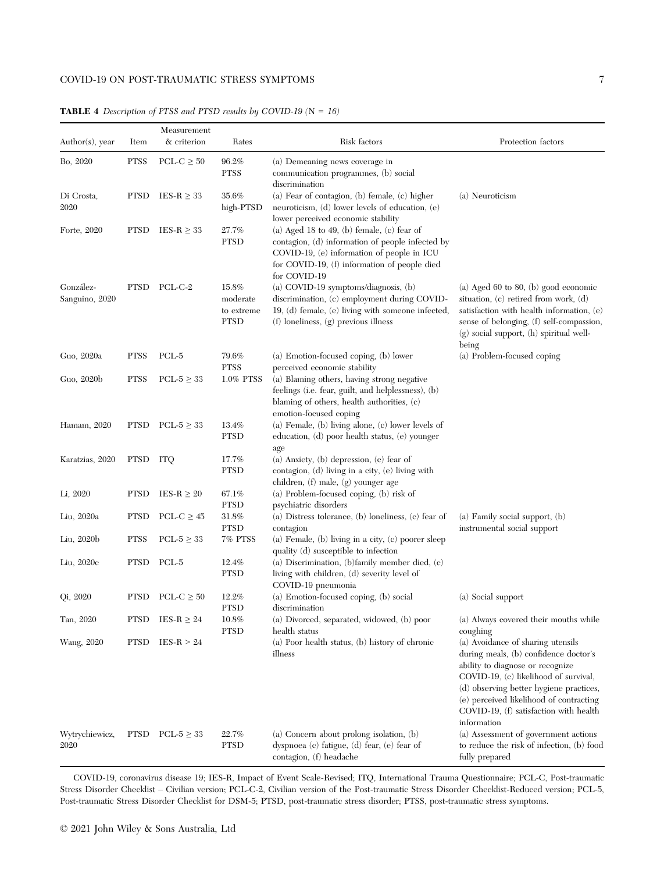| $Author(s)$ , year          | Item        | Measurement<br>& criterion | Rates                                          | Risk factors                                                                                                                                                                                                 | Protection factors                                                                                                                                                                                                                                                                                     |
|-----------------------------|-------------|----------------------------|------------------------------------------------|--------------------------------------------------------------------------------------------------------------------------------------------------------------------------------------------------------------|--------------------------------------------------------------------------------------------------------------------------------------------------------------------------------------------------------------------------------------------------------------------------------------------------------|
| Bo, 2020                    | <b>PTSS</b> | PCL-C $\geq 50$            | 96.2%<br><b>PTSS</b>                           | (a) Demeaning news coverage in<br>communication programmes, (b) social<br>discrimination                                                                                                                     |                                                                                                                                                                                                                                                                                                        |
| Di Crosta,<br>2020          | <b>PTSD</b> | IES-R $\geq$ 33            | 35.6%<br>high-PTSD                             | (a) Fear of contagion, $(b)$ female, $(c)$ higher<br>neuroticism, (d) lower levels of education, (e)<br>lower perceived economic stability                                                                   | (a) Neuroticism                                                                                                                                                                                                                                                                                        |
| Forte, 2020                 | <b>PTSD</b> | IES-R $\geq$ 33            | 27.7%<br><b>PTSD</b>                           | (a) Aged 18 to 49, (b) female, (c) fear of<br>contagion, (d) information of people infected by<br>COVID-19, (e) information of people in ICU<br>for COVID-19, (f) information of people died<br>for COVID-19 |                                                                                                                                                                                                                                                                                                        |
| González-<br>Sanguino, 2020 | <b>PTSD</b> | PCL-C-2                    | 15.8%<br>moderate<br>to extreme<br><b>PTSD</b> | (a) COVID-19 symptoms/diagnosis, (b)<br>discrimination, (c) employment during COVID-<br>19, (d) female, (e) living with someone infected,<br>$(f)$ loneliness, $(g)$ previous illness                        | (a) Aged 60 to 80, (b) good economic<br>situation, $(c)$ retired from work, $(d)$<br>satisfaction with health information, $(e)$<br>sense of belonging, (f) self-compassion,<br>$(g)$ social support, $(h)$ spiritual well-<br>being                                                                   |
| Guo, 2020a                  | <b>PTSS</b> | PCL-5                      | 79.6%<br><b>PTSS</b>                           | (a) Emotion-focused coping, (b) lower<br>perceived economic stability                                                                                                                                        | (a) Problem-focused coping                                                                                                                                                                                                                                                                             |
| Guo, 2020b                  | <b>PTSS</b> | PCL- $5 \geq 33$           | 1.0% PTSS                                      | (a) Blaming others, having strong negative<br>feelings (i.e. fear, guilt, and helplessness), (b)<br>blaming of others, health authorities, (c)<br>emotion-focused coping                                     |                                                                                                                                                                                                                                                                                                        |
| Hamam, 2020                 | <b>PTSD</b> | PCL-5 $\geq$ 33            | 13.4%<br><b>PTSD</b>                           | (a) Female, (b) living alone, (c) lower levels of<br>education, (d) poor health status, (e) younger<br>age                                                                                                   |                                                                                                                                                                                                                                                                                                        |
| Karatzias, 2020             | PTSD        | ITQ                        | 17.7%<br><b>PTSD</b>                           | (a) Anxiety, $(b)$ depression, $(c)$ fear of<br>contagion, (d) living in a city, (e) living with<br>children, (f) male, (g) younger age                                                                      |                                                                                                                                                                                                                                                                                                        |
| Li, 2020                    | <b>PTSD</b> | IES-R $\geq 20$            | 67.1%<br><b>PTSD</b>                           | (a) Problem-focused coping, (b) risk of<br>psychiatric disorders                                                                                                                                             |                                                                                                                                                                                                                                                                                                        |
| Liu, 2020a                  | <b>PTSD</b> | $\text{PCL-C}\geq 45$      | 31.8%<br><b>PTSD</b>                           | (a) Distress tolerance, (b) loneliness, (c) fear of<br>contagion                                                                                                                                             | $(a)$ Family social support, $(b)$<br>instrumental social support                                                                                                                                                                                                                                      |
| Liu, 2020b                  | <b>PTSS</b> | PCL- $5 \geq 33$           | 7% PTSS                                        | (a) Female, (b) living in a city, (c) poorer sleep<br>quality (d) susceptible to infection                                                                                                                   |                                                                                                                                                                                                                                                                                                        |
| Liu, 2020c                  | <b>PTSD</b> | PCL-5                      | 12.4%<br><b>PTSD</b>                           | (a) Discrimination, (b)family member died, $(c)$<br>living with children, (d) severity level of<br>COVID-19 pneumonia                                                                                        |                                                                                                                                                                                                                                                                                                        |
| Qi, 2020                    | <b>PTSD</b> | PCL-C $\geq 50$            | 12.2%<br><b>PTSD</b>                           | (a) Emotion-focused coping, (b) social<br>discrimination                                                                                                                                                     | (a) Social support                                                                                                                                                                                                                                                                                     |
| Tan, 2020                   | <b>PTSD</b> | IES-R $\geq 24$            | 10.8%<br><b>PTSD</b>                           | (a) Divorced, separated, widowed, (b) poor<br>health status                                                                                                                                                  | (a) Always covered their mouths while<br>coughing                                                                                                                                                                                                                                                      |
| Wang, 2020                  | <b>PTSD</b> | $IES-R > 24$               |                                                | (a) Poor health status, (b) history of chronic<br>illness                                                                                                                                                    | (a) Avoidance of sharing utensils<br>during meals, (b) confidence doctor's<br>ability to diagnose or recognize<br>COVID-19, (c) likelihood of survival,<br>(d) observing better hygiene practices,<br>(e) perceived likelihood of contracting<br>COVID-19, (f) satisfaction with health<br>information |
| Wytrychiewicz,<br>2020      |             | PTSD PCL- $5 \geq 33$      | 22.7%<br><b>PTSD</b>                           | $\left( \text{a}\right)$ Concern about prolong isolation, $\left( \text{b}\right)$<br>dyspnoea (c) fatigue, (d) fear, (e) fear of<br>contagion, (f) headache                                                 | (a) Assessment of government actions<br>to reduce the risk of infection, (b) food<br>fully prepared                                                                                                                                                                                                    |

**TABLE 4** Description of PTSS and PTSD results by COVID-19  $(N = 16)$ 

COVID-19, coronavirus disease 19; IES-R, Impact of Event Scale-Revised; ITQ, International Trauma Questionnaire; PCL-C, Post-traumatic Stress Disorder Checklist – Civilian version; PCL-C-2, Civilian version of the Post-traumatic Stress Disorder Checklist-Reduced version; PCL-5, Post-traumatic Stress Disorder Checklist for DSM-5; PTSD, post-traumatic stress disorder; PTSS, post-traumatic stress symptoms.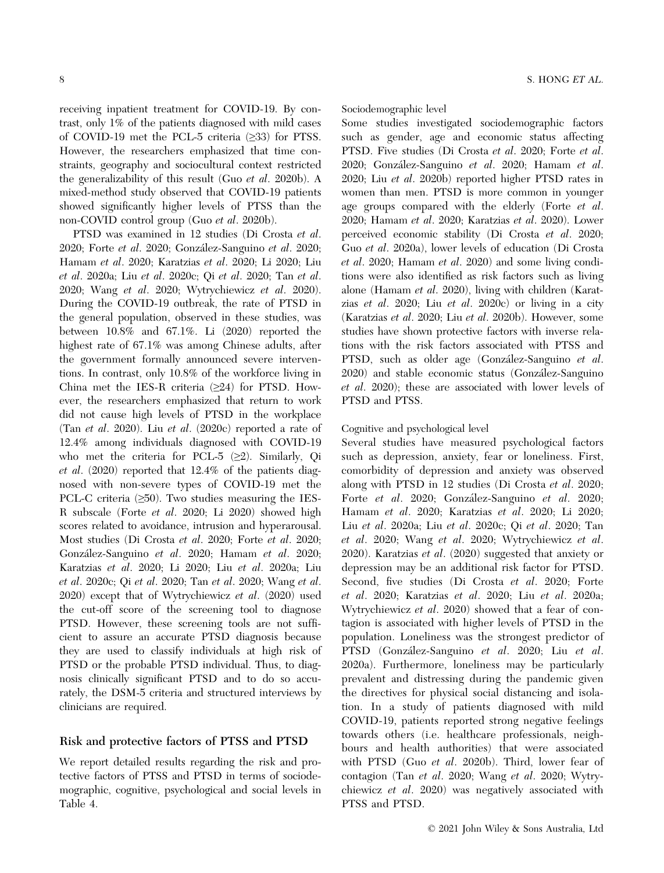receiving inpatient treatment for COVID-19. By contrast, only 1% of the patients diagnosed with mild cases of COVID-19 met the PCL-5 criteria (≥33) for PTSS. However, the researchers emphasized that time constraints, geography and sociocultural context restricted the generalizability of this result (Guo et al. 2020b). A mixed-method study observed that COVID-19 patients showed significantly higher levels of PTSS than the non-COVID control group (Guo et al. 2020b).

PTSD was examined in 12 studies (Di Crosta et al. 2020; Forte et al. 2020; Gonzalez-Sanguino et al. 2020; Hamam et al. 2020; Karatzias et al. 2020; Li 2020; Liu et al. 2020a; Liu et al. 2020c; Qi et al. 2020; Tan et al. 2020; Wang et al. 2020; Wytrychiewicz et al. 2020). During the COVID-19 outbreak, the rate of PTSD in the general population, observed in these studies, was between 10.8% and 67.1%. Li (2020) reported the highest rate of 67.1% was among Chinese adults, after the government formally announced severe interventions. In contrast, only 10.8% of the workforce living in China met the IES-R criteria (≥24) for PTSD. However, the researchers emphasized that return to work did not cause high levels of PTSD in the workplace (Tan *et al.* 2020). Liu *et al.* (2020c) reported a rate of 12.4% among individuals diagnosed with COVID-19 who met the criteria for PCL-5  $(\geq 2)$ . Similarly, Qi et al. (2020) reported that 12.4% of the patients diagnosed with non-severe types of COVID-19 met the PCL-C criteria  $(\geq 50)$ . Two studies measuring the IES-R subscale (Forte et al. 2020; Li 2020) showed high scores related to avoidance, intrusion and hyperarousal. Most studies (Di Crosta et al. 2020; Forte et al. 2020; Gonzalez-Sanguino et al. 2020; Hamam et al. 2020; Karatzias et al. 2020; Li 2020; Liu et al. 2020a; Liu et al. 2020c; Qi et al. 2020; Tan et al. 2020; Wang et al. 2020) except that of Wytrychiewicz et al. (2020) used the cut-off score of the screening tool to diagnose PTSD. However, these screening tools are not sufficient to assure an accurate PTSD diagnosis because they are used to classify individuals at high risk of PTSD or the probable PTSD individual. Thus, to diagnosis clinically significant PTSD and to do so accurately, the DSM-5 criteria and structured interviews by clinicians are required.

#### Risk and protective factors of PTSS and PTSD

We report detailed results regarding the risk and protective factors of PTSS and PTSD in terms of sociodemographic, cognitive, psychological and social levels in Table 4.

#### Sociodemographic level

Some studies investigated sociodemographic factors such as gender, age and economic status affecting PTSD. Five studies (Di Crosta et al. 2020; Forte et al. 2020; Gonzalez-Sanguino et al. 2020; Hamam et al. 2020; Liu et al. 2020b) reported higher PTSD rates in women than men. PTSD is more common in younger age groups compared with the elderly (Forte et al. 2020; Hamam et al. 2020; Karatzias et al. 2020). Lower perceived economic stability (Di Crosta et al. 2020; Guo et al. 2020a), lower levels of education (Di Crosta et al. 2020; Hamam et al. 2020) and some living conditions were also identified as risk factors such as living alone (Hamam et al. 2020), living with children (Karatzias et al. 2020; Liu et al. 2020c) or living in a city (Karatzias et al. 2020; Liu et al. 2020b). However, some studies have shown protective factors with inverse relations with the risk factors associated with PTSS and PTSD, such as older age (Gonzalez-Sanguino et al. 2020) and stable economic status (Gonzalez-Sanguino et al. 2020); these are associated with lower levels of PTSD and PTSS.

#### Cognitive and psychological level

Several studies have measured psychological factors such as depression, anxiety, fear or loneliness. First, comorbidity of depression and anxiety was observed along with PTSD in 12 studies (Di Crosta et al. 2020; Forte et al. 2020; Gonzalez-Sanguino et al. 2020; Hamam et al. 2020; Karatzias et al. 2020; Li 2020; Liu et al. 2020a; Liu et al. 2020c; Qi et al. 2020; Tan et al. 2020; Wang et al. 2020; Wytrychiewicz et al. 2020). Karatzias et al. (2020) suggested that anxiety or depression may be an additional risk factor for PTSD. Second, five studies (Di Crosta et al. 2020; Forte et al. 2020; Karatzias et al. 2020; Liu et al. 2020a; Wytrychiewicz et al. 2020) showed that a fear of contagion is associated with higher levels of PTSD in the population. Loneliness was the strongest predictor of PTSD (Gonzalez-Sanguino et al. 2020; Liu et al. 2020a). Furthermore, loneliness may be particularly prevalent and distressing during the pandemic given the directives for physical social distancing and isolation. In a study of patients diagnosed with mild COVID-19, patients reported strong negative feelings towards others (i.e. healthcare professionals, neighbours and health authorities) that were associated with PTSD (Guo *et al.* 2020b). Third, lower fear of contagion (Tan et al. 2020; Wang et al. 2020; Wytrychiewicz et al. 2020) was negatively associated with PTSS and PTSD.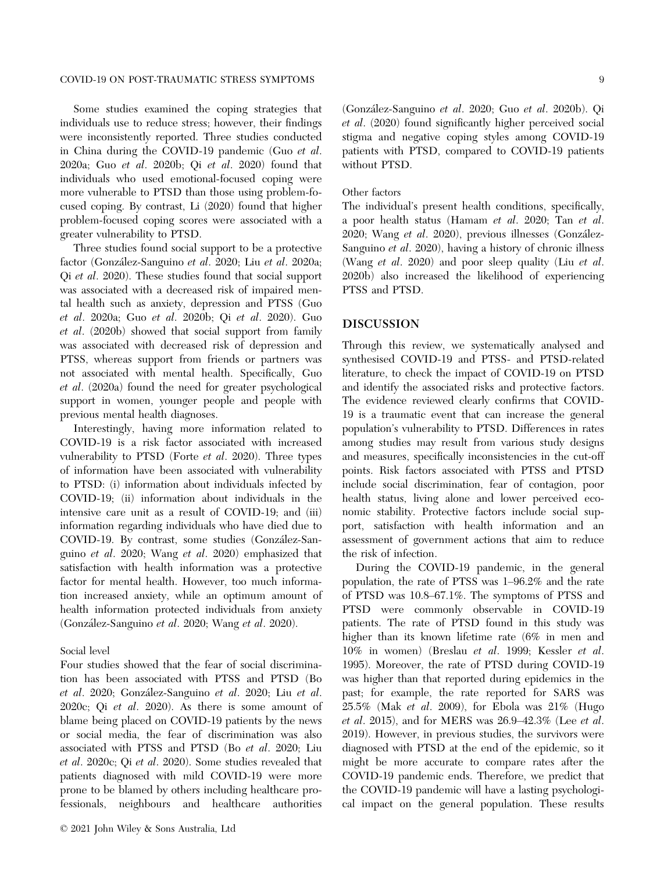#### COVID-19 ON POST-TRAUMATIC STRESS SYMPTOMS 9

Some studies examined the coping strategies that individuals use to reduce stress; however, their findings were inconsistently reported. Three studies conducted in China during the COVID-19 pandemic (Guo et al. 2020a; Guo et al. 2020b; Qi et al. 2020) found that individuals who used emotional-focused coping were more vulnerable to PTSD than those using problem-focused coping. By contrast, Li (2020) found that higher problem-focused coping scores were associated with a greater vulnerability to PTSD.

Three studies found social support to be a protective factor (Gonzalez-Sanguino et al. 2020; Liu et al. 2020a; Qi et al. 2020). These studies found that social support was associated with a decreased risk of impaired mental health such as anxiety, depression and PTSS (Guo et al. 2020a; Guo et al. 2020b; Qi et al. 2020). Guo et al. (2020b) showed that social support from family was associated with decreased risk of depression and PTSS, whereas support from friends or partners was not associated with mental health. Specifically, Guo et al. (2020a) found the need for greater psychological support in women, younger people and people with previous mental health diagnoses.

Interestingly, having more information related to COVID-19 is a risk factor associated with increased vulnerability to PTSD (Forte et al. 2020). Three types of information have been associated with vulnerability to PTSD: (i) information about individuals infected by COVID-19; (ii) information about individuals in the intensive care unit as a result of COVID-19; and (iii) information regarding individuals who have died due to COVID-19. By contrast, some studies (Gonzalez-Sanguino et al. 2020; Wang et al. 2020) emphasized that satisfaction with health information was a protective factor for mental health. However, too much information increased anxiety, while an optimum amount of health information protected individuals from anxiety (Gonzalez-Sanguino et al. 2020; Wang et al. 2020).

#### Social level

Four studies showed that the fear of social discrimination has been associated with PTSS and PTSD (Bo et al. 2020; Gonzalez-Sanguino et al. 2020; Liu et al.  $2020c$ ; Qi *et al.*  $2020$ ). As there is some amount of blame being placed on COVID-19 patients by the news or social media, the fear of discrimination was also associated with PTSS and PTSD (Bo et al. 2020; Liu et al. 2020c; Qi et al. 2020). Some studies revealed that patients diagnosed with mild COVID-19 were more prone to be blamed by others including healthcare professionals, neighbours and healthcare authorities (Gonzalez-Sanguino et al. 2020; Guo et al. 2020b). Qi et al. (2020) found significantly higher perceived social stigma and negative coping styles among COVID-19 patients with PTSD, compared to COVID-19 patients without PTSD.

#### Other factors

The individual's present health conditions, specifically, a poor health status (Hamam et al. 2020; Tan et al. 2020; Wang et al. 2020), previous illnesses (Gonzalez-Sanguino et al. 2020), having a history of chronic illness (Wang et al. 2020) and poor sleep quality (Liu et al. 2020b) also increased the likelihood of experiencing PTSS and PTSD.

#### DISCUSSION

Through this review, we systematically analysed and synthesised COVID-19 and PTSS- and PTSD-related literature, to check the impact of COVID-19 on PTSD and identify the associated risks and protective factors. The evidence reviewed clearly confirms that COVID-19 is a traumatic event that can increase the general population's vulnerability to PTSD. Differences in rates among studies may result from various study designs and measures, specifically inconsistencies in the cut-off points. Risk factors associated with PTSS and PTSD include social discrimination, fear of contagion, poor health status, living alone and lower perceived economic stability. Protective factors include social support, satisfaction with health information and an assessment of government actions that aim to reduce the risk of infection.

During the COVID-19 pandemic, in the general population, the rate of PTSS was 1–96.2% and the rate of PTSD was 10.8–67.1%. The symptoms of PTSS and PTSD were commonly observable in COVID-19 patients. The rate of PTSD found in this study was higher than its known lifetime rate (6% in men and 10% in women) (Breslau et al. 1999; Kessler et al. 1995). Moreover, the rate of PTSD during COVID-19 was higher than that reported during epidemics in the past; for example, the rate reported for SARS was 25.5% (Mak et al. 2009), for Ebola was 21% (Hugo et al. 2015), and for MERS was 26.9–42.3% (Lee et al. 2019). However, in previous studies, the survivors were diagnosed with PTSD at the end of the epidemic, so it might be more accurate to compare rates after the COVID-19 pandemic ends. Therefore, we predict that the COVID-19 pandemic will have a lasting psychological impact on the general population. These results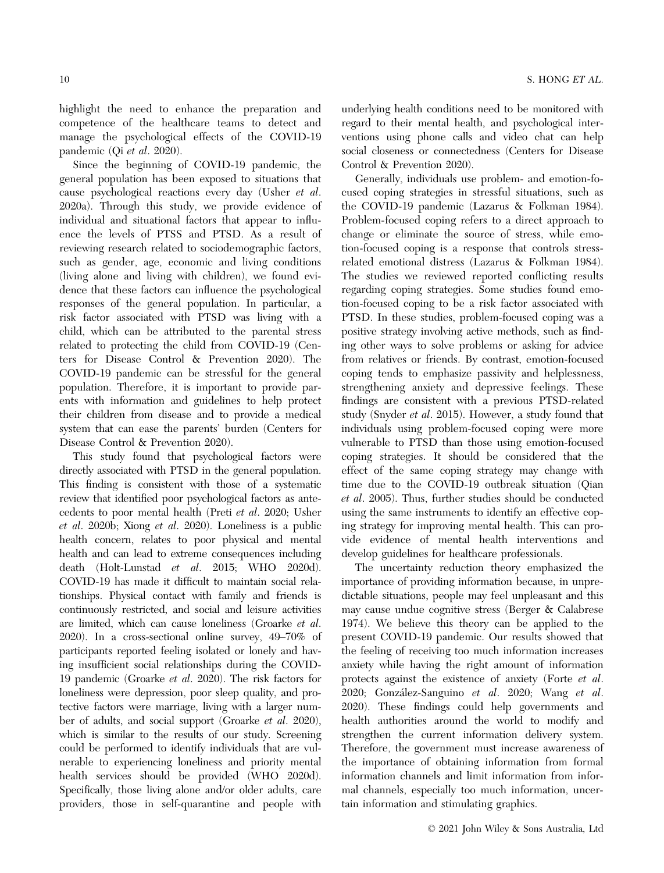highlight the need to enhance the preparation and competence of the healthcare teams to detect and manage the psychological effects of the COVID-19 pandemic (Qi et al. 2020).

Since the beginning of COVID-19 pandemic, the general population has been exposed to situations that cause psychological reactions every day (Usher et al. 2020a). Through this study, we provide evidence of individual and situational factors that appear to influence the levels of PTSS and PTSD. As a result of reviewing research related to sociodemographic factors, such as gender, age, economic and living conditions (living alone and living with children), we found evidence that these factors can influence the psychological responses of the general population. In particular, a risk factor associated with PTSD was living with a child, which can be attributed to the parental stress related to protecting the child from COVID-19 (Centers for Disease Control & Prevention 2020). The COVID-19 pandemic can be stressful for the general population. Therefore, it is important to provide parents with information and guidelines to help protect their children from disease and to provide a medical system that can ease the parents' burden (Centers for Disease Control & Prevention 2020).

This study found that psychological factors were directly associated with PTSD in the general population. This finding is consistent with those of a systematic review that identified poor psychological factors as antecedents to poor mental health (Preti et al. 2020; Usher et al. 2020b; Xiong et al. 2020). Loneliness is a public health concern, relates to poor physical and mental health and can lead to extreme consequences including death (Holt-Lunstad et al. 2015; WHO 2020d). COVID-19 has made it difficult to maintain social relationships. Physical contact with family and friends is continuously restricted, and social and leisure activities are limited, which can cause loneliness (Groarke et al. 2020). In a cross-sectional online survey, 49–70% of participants reported feeling isolated or lonely and having insufficient social relationships during the COVID-19 pandemic (Groarke et al. 2020). The risk factors for loneliness were depression, poor sleep quality, and protective factors were marriage, living with a larger number of adults, and social support (Groarke et al. 2020), which is similar to the results of our study. Screening could be performed to identify individuals that are vulnerable to experiencing loneliness and priority mental health services should be provided (WHO 2020d). Specifically, those living alone and/or older adults, care providers, those in self-quarantine and people with

underlying health conditions need to be monitored with regard to their mental health, and psychological interventions using phone calls and video chat can help social closeness or connectedness (Centers for Disease Control & Prevention 2020).

Generally, individuals use problem- and emotion-focused coping strategies in stressful situations, such as the COVID-19 pandemic (Lazarus & Folkman 1984). Problem-focused coping refers to a direct approach to change or eliminate the source of stress, while emotion-focused coping is a response that controls stressrelated emotional distress (Lazarus & Folkman 1984). The studies we reviewed reported conflicting results regarding coping strategies. Some studies found emotion-focused coping to be a risk factor associated with PTSD. In these studies, problem-focused coping was a positive strategy involving active methods, such as finding other ways to solve problems or asking for advice from relatives or friends. By contrast, emotion-focused coping tends to emphasize passivity and helplessness, strengthening anxiety and depressive feelings. These findings are consistent with a previous PTSD-related study (Snyder et al. 2015). However, a study found that individuals using problem-focused coping were more vulnerable to PTSD than those using emotion-focused coping strategies. It should be considered that the effect of the same coping strategy may change with time due to the COVID-19 outbreak situation (Qian et al. 2005). Thus, further studies should be conducted using the same instruments to identify an effective coping strategy for improving mental health. This can provide evidence of mental health interventions and develop guidelines for healthcare professionals.

The uncertainty reduction theory emphasized the importance of providing information because, in unpredictable situations, people may feel unpleasant and this may cause undue cognitive stress (Berger & Calabrese 1974). We believe this theory can be applied to the present COVID-19 pandemic. Our results showed that the feeling of receiving too much information increases anxiety while having the right amount of information protects against the existence of anxiety (Forte et al. 2020; Gonzalez-Sanguino et al. 2020; Wang et al. 2020). These findings could help governments and health authorities around the world to modify and strengthen the current information delivery system. Therefore, the government must increase awareness of the importance of obtaining information from formal information channels and limit information from informal channels, especially too much information, uncertain information and stimulating graphics.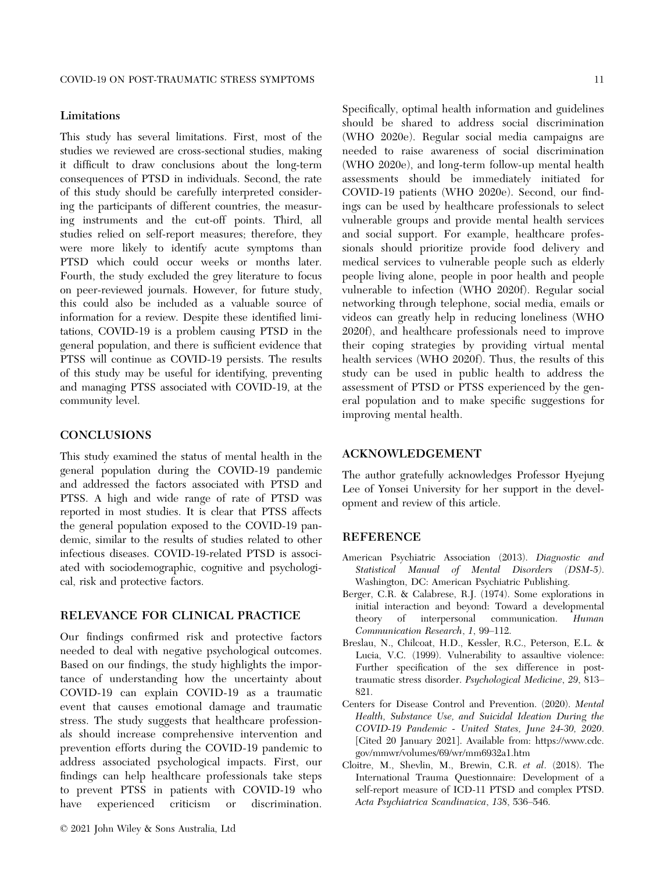#### Limitations

This study has several limitations. First, most of the studies we reviewed are cross-sectional studies, making it difficult to draw conclusions about the long-term consequences of PTSD in individuals. Second, the rate of this study should be carefully interpreted considering the participants of different countries, the measuring instruments and the cut-off points. Third, all studies relied on self-report measures; therefore, they were more likely to identify acute symptoms than PTSD which could occur weeks or months later. Fourth, the study excluded the grey literature to focus on peer-reviewed journals. However, for future study, this could also be included as a valuable source of information for a review. Despite these identified limitations, COVID-19 is a problem causing PTSD in the general population, and there is sufficient evidence that PTSS will continue as COVID-19 persists. The results of this study may be useful for identifying, preventing and managing PTSS associated with COVID-19, at the community level.

#### **CONCLUSIONS**

This study examined the status of mental health in the general population during the COVID-19 pandemic and addressed the factors associated with PTSD and PTSS. A high and wide range of rate of PTSD was reported in most studies. It is clear that PTSS affects the general population exposed to the COVID-19 pandemic, similar to the results of studies related to other infectious diseases. COVID-19-related PTSD is associated with sociodemographic, cognitive and psychological, risk and protective factors.

#### RELEVANCE FOR CLINICAL PRACTICE

Our findings confirmed risk and protective factors needed to deal with negative psychological outcomes. Based on our findings, the study highlights the importance of understanding how the uncertainty about COVID-19 can explain COVID-19 as a traumatic event that causes emotional damage and traumatic stress. The study suggests that healthcare professionals should increase comprehensive intervention and prevention efforts during the COVID-19 pandemic to address associated psychological impacts. First, our findings can help healthcare professionals take steps to prevent PTSS in patients with COVID-19 who have experienced criticism or discrimination.

Specifically, optimal health information and guidelines should be shared to address social discrimination (WHO 2020e). Regular social media campaigns are needed to raise awareness of social discrimination (WHO 2020e), and long-term follow-up mental health assessments should be immediately initiated for COVID-19 patients (WHO 2020e). Second, our findings can be used by healthcare professionals to select vulnerable groups and provide mental health services and social support. For example, healthcare professionals should prioritize provide food delivery and medical services to vulnerable people such as elderly people living alone, people in poor health and people vulnerable to infection (WHO 2020f). Regular social networking through telephone, social media, emails or videos can greatly help in reducing loneliness (WHO 2020f), and healthcare professionals need to improve their coping strategies by providing virtual mental health services (WHO 2020f). Thus, the results of this study can be used in public health to address the assessment of PTSD or PTSS experienced by the general population and to make specific suggestions for improving mental health.

#### ACKNOWLEDGEMENT

The author gratefully acknowledges Professor Hyejung Lee of Yonsei University for her support in the development and review of this article.

#### **REFERENCE**

- American Psychiatric Association (2013). Diagnostic and Statistical Manual of Mental Disorders (DSM-5). Washington, DC: American Psychiatric Publishing.
- Berger, C.R. & Calabrese, R.J. (1974). Some explorations in initial interaction and beyond: Toward a developmental theory of interpersonal communication. Human Communication Research, 1, 99–112.
- Breslau, N., Chilcoat, H.D., Kessler, R.C., Peterson, E.L. & Lucia, V.C. (1999). Vulnerability to assaultive violence: Further specification of the sex difference in posttraumatic stress disorder. Psychological Medicine, 29, 813– 821.
- Centers for Disease Control and Prevention. (2020). Mental Health, Substance Use, and Suicidal Ideation During the COVID-19 Pandemic - United States, June 24-30, 2020. [Cited 20 January 2021]. Available from: [https://www.cdc.](https://www.cdc.gov/mmwr/volumes/69/wr/mm6932a1.htm) [gov/mmwr/volumes/69/wr/mm6932a1.htm](https://www.cdc.gov/mmwr/volumes/69/wr/mm6932a1.htm)
- Cloitre, M., Shevlin, M., Brewin, C.R. et al. (2018). The International Trauma Questionnaire: Development of a self-report measure of ICD-11 PTSD and complex PTSD. Acta Psychiatrica Scandinavica, 138, 536–546.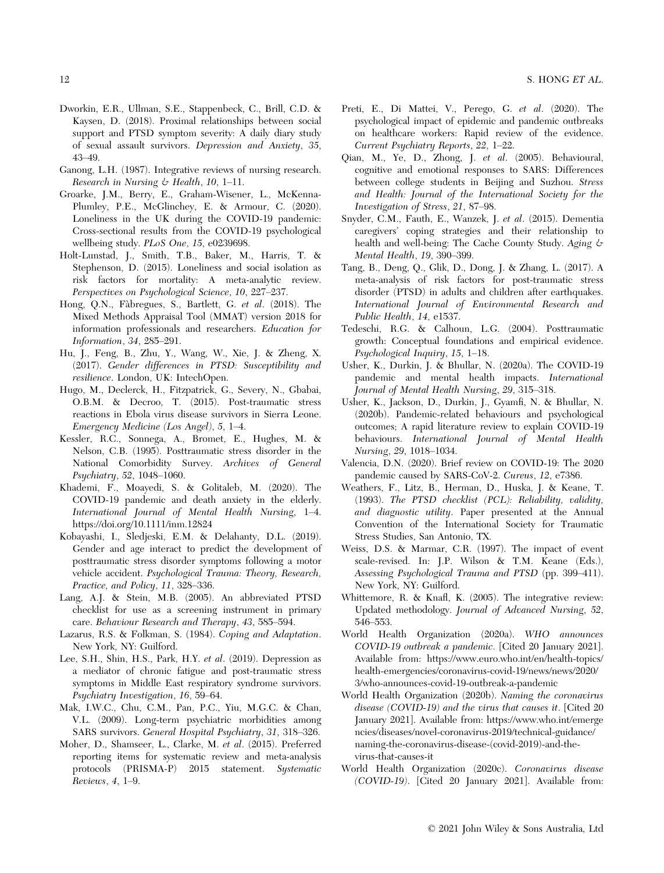- Dworkin, E.R., Ullman, S.E., Stappenbeck, C., Brill, C.D. & Kaysen, D. (2018). Proximal relationships between social support and PTSD symptom severity: A daily diary study of sexual assault survivors. Depression and Anxiety, 35, 43–49.
- Ganong, L.H. (1987). Integrative reviews of nursing research. Research in Nursing  $\&$  Health, 10, 1–11.
- Groarke, J.M., Berry, E., Graham-Wisener, L., McKenna-Plumley, P.E., McGlinchey, E. & Armour, C. (2020). Loneliness in the UK during the COVID-19 pandemic: Cross-sectional results from the COVID-19 psychological wellbeing study. PLoS One, 15, e0239698.
- Holt-Lunstad, J., Smith, T.B., Baker, M., Harris, T. & Stephenson, D. (2015). Loneliness and social isolation as risk factors for mortality: A meta-analytic review. Perspectives on Psychological Science, 10, 227–237.
- Hong, Q.N., Fabregues, S., Bartlett, G. et al. (2018). The Mixed Methods Appraisal Tool (MMAT) version 2018 for information professionals and researchers. Education for Information, 34, 285–291.
- Hu, J., Feng, B., Zhu, Y., Wang, W., Xie, J. & Zheng, X. (2017). Gender differences in PTSD: Susceptibility and resilience. London, UK: IntechOpen.
- Hugo, M., Declerck, H., Fitzpatrick, G., Severy, N., Gbabai, O.B.M. & Decroo, T. (2015). Post-traumatic stress reactions in Ebola virus disease survivors in Sierra Leone. Emergency Medicine (Los Angel), 5, 1–4.
- Kessler, R.C., Sonnega, A., Bromet, E., Hughes, M. & Nelson, C.B. (1995). Posttraumatic stress disorder in the National Comorbidity Survey. Archives of General Psychiatry, 52, 1048–1060.
- Khademi, F., Moayedi, S. & Golitaleb, M. (2020). The COVID-19 pandemic and death anxiety in the elderly. International Journal of Mental Health Nursing, 1–4. <https://doi.org/10.1111/inm.12824>
- Kobayashi, I., Sledjeski, E.M. & Delahanty, D.L. (2019). Gender and age interact to predict the development of posttraumatic stress disorder symptoms following a motor vehicle accident. Psychological Trauma: Theory, Research, Practice, and Policy, 11, 328–336.
- Lang, A.J. & Stein, M.B. (2005). An abbreviated PTSD checklist for use as a screening instrument in primary care. Behaviour Research and Therapy, 43, 585–594.
- Lazarus, R.S. & Folkman, S. (1984). Coping and Adaptation. New York, NY: Guilford.
- Lee, S.H., Shin, H.S., Park, H.Y. et al. (2019). Depression as a mediator of chronic fatigue and post-traumatic stress symptoms in Middle East respiratory syndrome survivors. Psychiatry Investigation, 16, 59–64.
- Mak, I.W.C., Chu, C.M., Pan, P.C., Yiu, M.G.C. & Chan, V.L. (2009). Long-term psychiatric morbidities among SARS survivors. General Hospital Psychiatry, 31, 318–326.
- Moher, D., Shamseer, L., Clarke, M. et al. (2015). Preferred reporting items for systematic review and meta-analysis protocols (PRISMA-P) 2015 statement. Systematic Reviews, 4, 1–9.
- Preti, E., Di Mattei, V., Perego, G. et al. (2020). The psychological impact of epidemic and pandemic outbreaks on healthcare workers: Rapid review of the evidence. Current Psychiatry Reports, 22, 1–22.
- Qian, M., Ye, D., Zhong, J. et al. (2005). Behavioural, cognitive and emotional responses to SARS: Differences between college students in Beijing and Suzhou. Stress and Health: Journal of the International Society for the Investigation of Stress, 21, 87–98.
- Snyder, C.M., Fauth, E., Wanzek, J. et al. (2015). Dementia caregivers' coping strategies and their relationship to health and well-being: The Cache County Study. Aging  $\phi$ Mental Health, 19, 390–399.
- Tang, B., Deng, Q., Glik, D., Dong, J. & Zhang, L. (2017). A meta-analysis of risk factors for post-traumatic stress disorder (PTSD) in adults and children after earthquakes. International Journal of Environmental Research and Public Health, 14, e1537.
- Tedeschi, R.G. & Calhoun, L.G. (2004). Posttraumatic growth: Conceptual foundations and empirical evidence. Psychological Inquiry, 15, 1–18.
- Usher, K., Durkin, J. & Bhullar, N. (2020a). The COVID-19 pandemic and mental health impacts. International Journal of Mental Health Nursing, 29, 315–318.
- Usher, K., Jackson, D., Durkin, J., Gyamfi, N. & Bhullar, N. (2020b). Pandemic-related behaviours and psychological outcomes; A rapid literature review to explain COVID-19 behaviours. International Journal of Mental Health Nursing, 29, 1018–1034.
- Valencia, D.N. (2020). Brief review on COVID-19: The 2020 pandemic caused by SARS-CoV-2. Cureus, 12, e7386.
- Weathers, F., Litz, B., Herman, D., Huska, J. & Keane, T. (1993). The PTSD checklist (PCL): Reliability, validity, and diagnostic utility. Paper presented at the Annual Convention of the International Society for Traumatic Stress Studies, San Antonio, TX.
- Weiss, D.S. & Marmar, C.R. (1997). The impact of event scale-revised. In: J.P. Wilson & T.M. Keane (Eds.), Assessing Psychological Trauma and PTSD (pp. 399–411). New York, NY: Guilford.
- Whittemore, R. & Knafl, K. (2005). The integrative review: Updated methodology. Journal of Advanced Nursing, 52, 546–553.
- World Health Organization (2020a). WHO announces COVID-19 outbreak a pandemic. [Cited 20 January 2021]. Available from: [https://www.euro.who.int/en/health-topics/](https://www.euro.who.int/en/health-topics/health-emergencies/coronavirus-covid-19/news/news/2020/3/who-announces-covid-19-outbreak-a-pandemic) [health-emergencies/coronavirus-covid-19/news/news/2020/](https://www.euro.who.int/en/health-topics/health-emergencies/coronavirus-covid-19/news/news/2020/3/who-announces-covid-19-outbreak-a-pandemic) [3/who-announces-covid-19-outbreak-a-pandemic](https://www.euro.who.int/en/health-topics/health-emergencies/coronavirus-covid-19/news/news/2020/3/who-announces-covid-19-outbreak-a-pandemic)
- World Health Organization (2020b). Naming the coronavirus disease (COVID-19) and the virus that causes it. [Cited 20 January 2021]. Available from: [https://www.who.int/emerge](https://www.who.int/emergencies/diseases/novel-coronavirus-2019/technical-guidance/naming-the-coronavirus-disease-(covid-2019)-and-the-virus-that-causes-it) [ncies/diseases/novel-coronavirus-2019/technical-guidance/](https://www.who.int/emergencies/diseases/novel-coronavirus-2019/technical-guidance/naming-the-coronavirus-disease-(covid-2019)-and-the-virus-that-causes-it) [naming-the-coronavirus-disease-\(covid-2019\)-and-the](https://www.who.int/emergencies/diseases/novel-coronavirus-2019/technical-guidance/naming-the-coronavirus-disease-(covid-2019)-and-the-virus-that-causes-it)[virus-that-causes-it](https://www.who.int/emergencies/diseases/novel-coronavirus-2019/technical-guidance/naming-the-coronavirus-disease-(covid-2019)-and-the-virus-that-causes-it)
- World Health Organization (2020c). Coronavirus disease (COVID-19). [Cited 20 January 2021]. Available from: